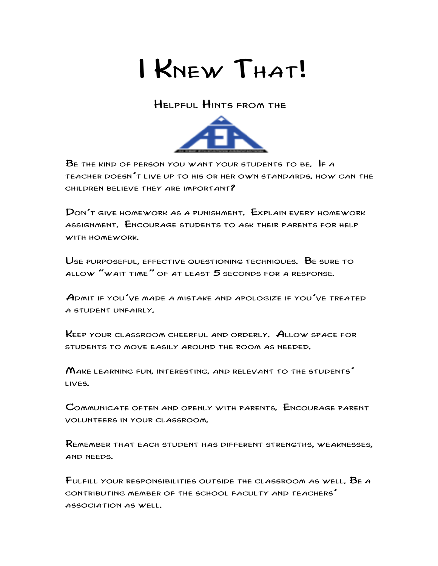

Helpful Hints from the



 $B$  and the kind of person you want your students to be. If a teacher doesn't live up to his or her own standards, how can the children believe they are important?

Don't give homework as a punishment. Explain every homework assignment. Encourage students to ask their parents for help with homework.

Use purposeful, effective questioning techniques. Be sure to allow "wait time" of at least 5 seconds for a response.

Admit if you've made a mistake and apologize if you've treated a student unfairly.

Keep your classroom cheerful and orderly. Allow space for students to move easily around the room as needed.

Make learning fun, interesting, and relevant to the students' lives.

Communicate often and openly with parents. Encourage parent volunteers in your classroom.

Remember that each student has different strengths, weaknesses, and needs.

Fulfill your responsibilities outside the classroom as well. Be a contributing member of the school faculty and teachers' association as well.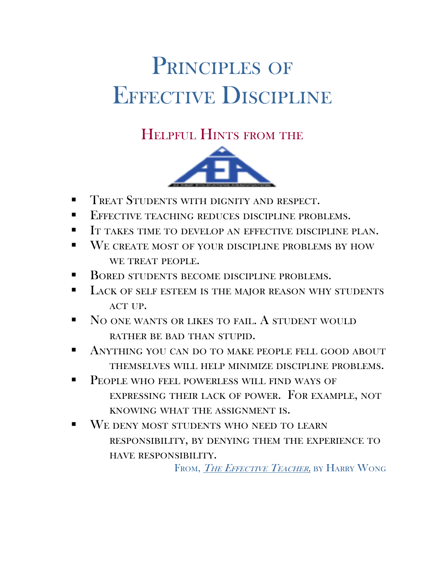## PRINCIPLES OF EFFECTIVE DISCIPLINE

## Helpful Hints from the



- Treat Students with dignity and respect.
- Effective teaching reduces discipline problems.
- It takes time to develop an effective discipline plan.
- WE CREATE MOST OF YOUR DISCIPLINE PROBLEMS BY HOW WE TREAT PEOPLE.
- BORED STUDENTS BECOME DISCIPLINE PROBLEMS.
- LACK OF SELF ESTEEM IS THE MAJOR REASON WHY STUDENTS ACT UP.
- NO ONE WANTS OR LIKES TO FAIL. A STUDENT WOULD rather be bad than stupid.
- Anything you can do to make people fell good about themselves will help minimize discipline problems.
- People who feel powerless will find ways of expressing their lack of power. For example, not knowing what the assignment is.
- We deny most students who need to learn responsibility, by denying them the experience to have responsibility.

FROM, THE EFFECTIVE TEACHER, BY HARRY WONG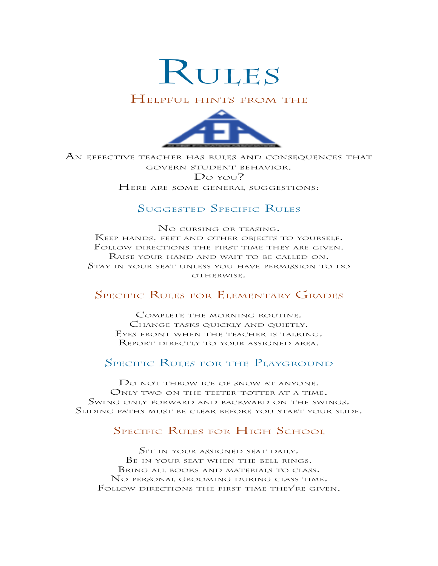

#### Helpful hints from the



An effective teacher has rules and consequences that govern student behavior. Do you? HERE ARE SOME GENERAL SUGGESTIONS:

#### Suggested Specific Rules

No cursing or teasing. Keep hands, feet and other objects to yourself. Follow directions the first time they are given. Raise your hand and wait to be called on. Stay in your seat unless you have permission to do OTHERWISE.

#### Specific Rules for Elementary Grades

Complete the morning routine. CHANGE TASKS QUICKLY AND QUIETLY. Eyes front when the teacher is talking. Report directly to your assigned area.

#### SPECIFIC RULES FOR THE PLAYGROUND

Do not throw ice of snow at anyone. ONLY TWO ON THE TEETER-TOTTER AT A TIME. Swing only forward and backward on the swings. Sliding paths must be clear before you start your slide.

#### SPECIFIC RULES FOR HIGH SCHOOL

SIT IN YOUR ASSIGNED SEAT DAILY. Be in your seat when the bell rings. Bring all books and materials to class. No personal grooming during class time. Follow directions the first time they're given.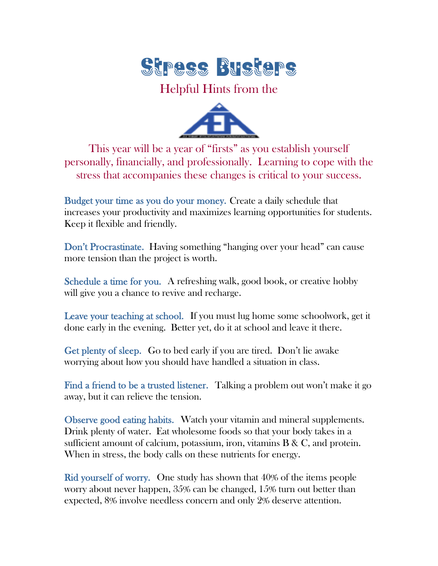

#### Helpful Hints from the



This year will be a year of "firsts" as you establish yourself personally, financially, and professionally. Learning to cope with the stress that accompanies these changes is critical to your success.

Budget your time as you do your money. Create a daily schedule that increases your productivity and maximizes learning opportunities for students. Keep it flexible and friendly.

Don't Procrastinate. Having something "hanging over your head" can cause more tension than the project is worth.

Schedule a time for you. A refreshing walk, good book, or creative hobby will give you a chance to revive and recharge.

Leave your teaching at school. If you must lug home some schoolwork, get it done early in the evening. Better yet, do it at school and leave it there.

Get plenty of sleep. Go to bed early if you are tired. Don't lie awake worrying about how you should have handled a situation in class.

Find a friend to be a trusted listener. Talking a problem out won't make it go away, but it can relieve the tension.

Observe good eating habits. Watch your vitamin and mineral supplements. Drink plenty of water. Eat wholesome foods so that your body takes in a sufficient amount of calcium, potassium, iron, vitamins  $B \& C$ , and protein. When in stress, the body calls on these nutrients for energy.

Rid yourself of worry. One study has shown that 40% of the items people worry about never happen, 35% can be changed, 15% turn out better than expected, 8% involve needless concern and only 2% deserve attention.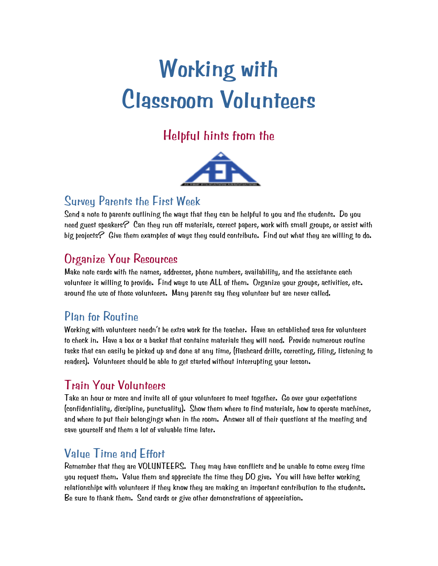# **Working with Classroom Volunteers**

## Helpful hints from the



#### Survey Parents the First Week

Send a note to parents outlining the ways that they can be helpful to you and the students. Do you need guest speakers $\mathcal C$  Can they run off materials, correct papers, work with small groups, or assist with big projects? Give them examples of ways they could contribute. Find out what they are willing to do.

## Organize Your Resources

Make note cards with the names, addresses, phone numbers, availability, and the assistance each volunteer is willing to provide. Find ways to use ALL of them. Organize your groups, activities, etc. around the use of those volunteers. Many parents say they volunteer but are never called.

### Plan for Routine

Working with volunteers needn't be extra work for the teacher. Have an established area for volunteers to check in. Have a box or a basket that contains materials they will need. Provide numerous routine tasks that can easily be picked up and done at any time, (flashcard drills, correcting, filing, listening to readers). Volunteers should be able to get started without interrupting your lesson.

## Train Your Volunteers

Take an hour or more and invite all of your volunteers to meet together. Go over your expectations (confidentiality, discipline, punctuality). Show them where to find materials, how to operate machines, and where to put their belongings when in the room. Answer all of their questions at the meeting and save yourself and them a lot of valuable time later.

## Value Time and Effort

Remember that they are VOLUNTEERS. They may have conflicts and be unable to come every time you request them. Value them and appreciate the time they DO give. You will have better working relationships with volunteers if they know they are making an important contribution to the students. Be sure to thank them. Send cards or give other demonstrations of appreciation.